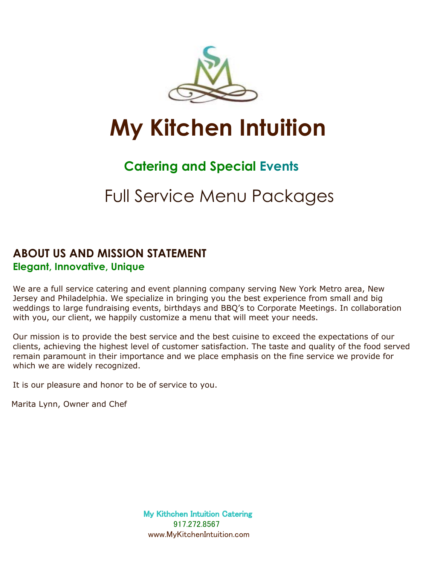

# **My Kitchen Intuition**

# **Catering and Special Events**

# Full Service Menu Packages

### **ABOUT US AND MISSION STATEMENT Elegant, Innovative, Unique**

We are a full service catering and event planning company serving New York Metro area, New Jersey and Philadelphia. We specialize in bringing you the best experience from small and big weddings to large fundraising events, birthdays and BBQ's to Corporate Meetings. In collaboration with you, our client, we happily customize a menu that will meet your needs.

Our mission is to provide the best service and the best cuisine to exceed the expectations of our clients, achieving the highest level of customer satisfaction. The taste and quality of the food served remain paramount in their importance and we place emphasis on the fine service we provide for which we are widely recognized.

It is our pleasure and honor to be of service to you.

Marita Lynn, Owner and Chef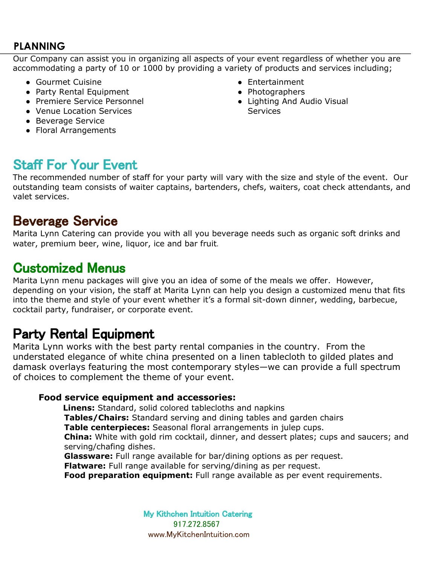### **PLANNING**

 Our Company can assist you in organizing all aspects of your event regardless of whether you are accommodating a party of 10 or 1000 by providing a variety of products and services including;

- Gourmet Cuisine
- Party Rental Equipment
- Premiere Service Personnel
- Venue Location Services
- Beverage Service
- Floral Arrangements
- Entertainment
- Photographers
- Lighting And Audio Visual **Services**

# Staff For Your Event

The recommended number of staff for your party will vary with the size and style of the event. Our outstanding team consists of waiter captains, bartenders, chefs, waiters, coat check attendants, and valet services.

# **Beverage Service**

Marita Lynn Catering can provide you with all you beverage needs such as organic soft drinks and water, premium beer, wine, liquor, ice and bar fruit.

# Customized Menus

Marita Lynn menu packages will give you an idea of some of the meals we offer. However, depending on your vision, the staff at Marita Lynn can help you design a customized menu that fits into the theme and style of your event whether it's a formal sit-down dinner, wedding, barbecue, cocktail party, fundraiser, or corporate event.

# Party Rental Equipment

Marita Lynn works with the best party rental companies in the country. From the understated elegance of white china presented on a linen tablecloth to gilded plates and damask overlays featuring the most contemporary styles—we can provide a full spectrum of choices to complement the theme of your event.

#### **Food service equipment and accessories:**

 **Linens:** Standard, solid colored tablecloths and napkins

**Tables/Chairs:** Standard serving and dining tables and garden chairs

**Table centerpieces:** Seasonal floral arrangements in julep cups.

**China:** White with gold rim cocktail, dinner, and dessert plates; cups and saucers; and serving/chafing dishes.

**Glassware:** Full range available for bar/dining options as per request.

**Flatware:** Full range available for serving/dining as per request.

**Food preparation equipment:** Full range available as per event requirements.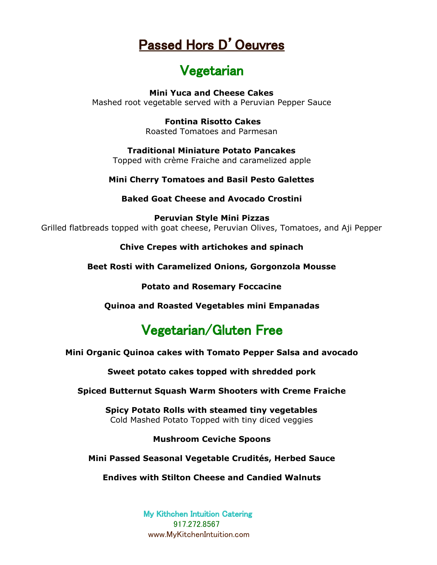# Passed Hors D'Oeuvres

# Vegetarian

**Mini Yuca and Cheese Cakes**  Mashed root vegetable served with a Peruvian Pepper Sauce

> **Fontina Risotto Cakes**  Roasted Tomatoes and Parmesan

**Traditional Miniature Potato Pancakes** Topped with crème Fraiche and caramelized apple

**Mini Cherry Tomatoes and Basil Pesto Galettes**

**Baked Goat Cheese and Avocado Crostini**

**Peruvian Style Mini Pizzas**  Grilled flatbreads topped with goat cheese, Peruvian Olives, Tomatoes, and Aji Pepper

**Chive Crepes with artichokes and spinach** 

**Beet Rosti with Caramelized Onions, Gorgonzola Mousse**

**Potato and Rosemary Foccacine**

**Quinoa and Roasted Vegetables mini Empanadas**

# Vegetarian/Gluten Free

**Mini Organic Quinoa cakes with Tomato Pepper Salsa and avocado**

**Sweet potato cakes topped with shredded pork**

**Spiced Butternut Squash Warm Shooters with Creme Fraiche**

**Spicy Potato Rolls with steamed tiny vegetables** Cold Mashed Potato Topped with tiny diced veggies

**Mushroom Ceviche Spoons**

**Mini Passed Seasonal Vegetable Crudités, Herbed Sauce**

**Endives with Stilton Cheese and Candied Walnuts**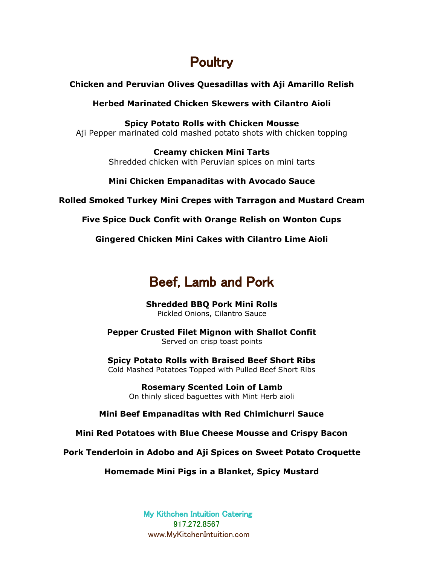# **Poultry**

#### **Chicken and Peruvian Olives Quesadillas with Aji Amarillo Relish**

**Herbed Marinated Chicken Skewers with Cilantro Aioli**

**Spicy Potato Rolls with Chicken Mousse** Aji Pepper marinated cold mashed potato shots with chicken topping

> **Creamy chicken Mini Tarts** Shredded chicken with Peruvian spices on mini tarts

#### **Mini Chicken Empanaditas with Avocado Sauce**

**Rolled Smoked Turkey Mini Crepes with Tarragon and Mustard Cream**

**Five Spice Duck Confit with Orange Relish on Wonton Cups**

**Gingered Chicken Mini Cakes with Cilantro Lime Aioli**

# Beef, Lamb and Pork

**Shredded BBQ Pork Mini Rolls** Pickled Onions, Cilantro Sauce

**Pepper Crusted Filet Mignon with Shallot Confit**  Served on crisp toast points

**Spicy Potato Rolls with Braised Beef Short Ribs** Cold Mashed Potatoes Topped with Pulled Beef Short Ribs

> **Rosemary Scented Loin of Lamb**  On thinly sliced baguettes with Mint Herb aioli

**Mini Beef Empanaditas with Red Chimichurri Sauce**

**Mini Red Potatoes with Blue Cheese Mousse and Crispy Bacon**

**Pork Tenderloin in Adobo and Aji Spices on Sweet Potato Croquette**

**Homemade Mini Pigs in a Blanket, Spicy Mustard**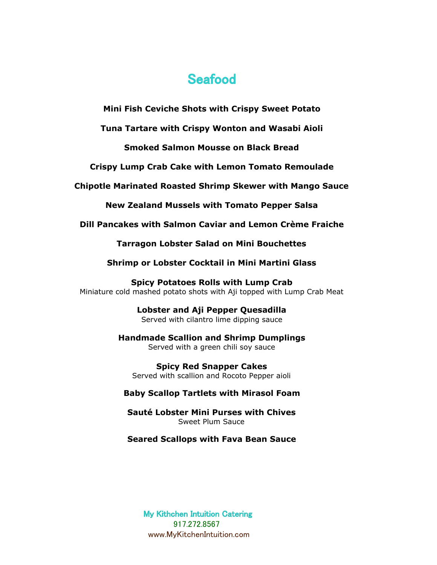### **Seafood**

**Mini Fish Ceviche Shots with Crispy Sweet Potato**

**Tuna Tartare with Crispy Wonton and Wasabi Aioli**

**Smoked Salmon Mousse on Black Bread**

**Crispy Lump Crab Cake with Lemon Tomato Remoulade**

**Chipotle Marinated Roasted Shrimp Skewer with Mango Sauce**

**New Zealand Mussels with Tomato Pepper Salsa**

**Dill Pancakes with Salmon Caviar and Lemon Crème Fraiche**

**Tarragon Lobster Salad on Mini Bouchettes**

**Shrimp or Lobster Cocktail in Mini Martini Glass**

**Spicy Potatoes Rolls with Lump Crab** Miniature cold mashed potato shots with Aji topped with Lump Crab Meat

> **Lobster and Aji Pepper Quesadilla**  Served with cilantro lime dipping sauce

**Handmade Scallion and Shrimp Dumplings** Served with a green chili soy sauce

**Spicy Red Snapper Cakes**  Served with scallion and Rocoto Pepper aioli

**Baby Scallop Tartlets with Mirasol Foam**

**Sauté Lobster Mini Purses with Chives** Sweet Plum Sauce

**Seared Scallops with Fava Bean Sauce**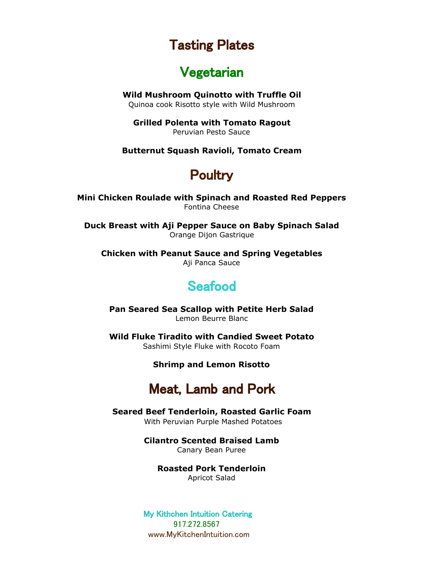# Tasting Plates

### Vegetarian

**Wild Mushroom Quinotto with Truffle Oil**

Quinoa cook Risotto style with Wild Mushroom

**Grilled Polenta with Tomato Ragout** Peruvian Pesto Sauce

**Butternut Squash Ravioli, Tomato Cream**

# **Poultry**

**Mini Chicken Roulade with Spinach and Roasted Red Peppers** Fontina Cheese

**Duck Breast with Aji Pepper Sauce on Baby Spinach Salad** Orange Dijon Gastrique

**Chicken with Peanut Sauce and Spring Vegetables** Aji Panca Sauce

# **Seafood**

**Pan Seared Sea Scallop with Petite Herb Salad** Lemon Beurre Blanc

**Wild Fluke Tiradito with Candied Sweet Potato** Sashimi Style Fluke with Rocoto Foam

#### **Shrimp and Lemon Risotto**

### Meat, Lamb and Pork

**Seared Beef Tenderloin, Roasted Garlic Foam** With Peruvian Purple Mashed Potatoes

**Cilantro Scented Braised Lamb** 

Canary Bean Puree

**Roasted Pork Tenderloin** Apricot Salad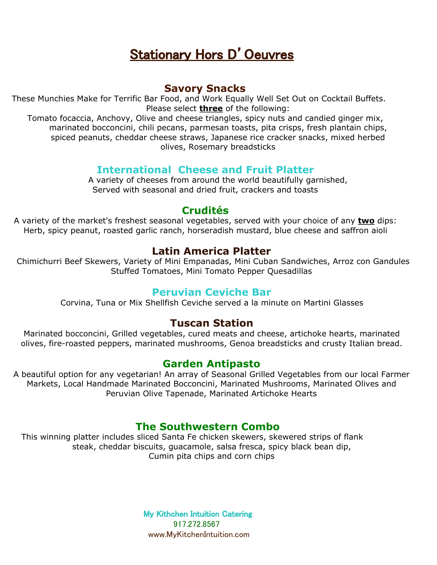# Stationary Hors D'Oeuvres

#### **Savory Snacks**

These Munchies Make for Terrific Bar Food, and Work Equally Well Set Out on Cocktail Buffets. Please select **three** of the following:

Tomato focaccia, Anchovy, Olive and cheese triangles, spicy nuts and candied ginger mix, marinated bocconcini, chili pecans, parmesan toasts, pita crisps, fresh plantain chips, spiced peanuts, cheddar cheese straws, Japanese rice cracker snacks, mixed herbed olives, Rosemary breadsticks

### **International Cheese and Fruit Platter**

A variety of cheeses from around the world beautifully garnished, Served with seasonal and dried fruit, crackers and toasts

#### **Crudités**

A variety of the market's freshest seasonal vegetables, served with your choice of any **two** dips: Herb, spicy peanut, roasted garlic ranch, horseradish mustard, blue cheese and saffron aioli

### **Latin America Platter**

 Chimichurri Beef Skewers, Variety of Mini Empanadas, Mini Cuban Sandwiches, Arroz con Gandules Stuffed Tomatoes, Mini Tomato Pepper Quesadillas

#### **Peruvian Ceviche Bar**

Corvina, Tuna or Mix Shellfish Ceviche served a la minute on Martini Glasses

### **Tuscan Station**

Marinated bocconcini, Grilled vegetables, cured meats and cheese, artichoke hearts, marinated olives, fire-roasted peppers, marinated mushrooms, Genoa breadsticks and crusty Italian bread.

### **Garden Antipasto**

A beautiful option for any vegetarian! An array of Seasonal Grilled Vegetables from our local Farmer Markets, Local Handmade Marinated Bocconcini, Marinated Mushrooms, Marinated Olives and Peruvian Olive Tapenade, Marinated Artichoke Hearts

### **The Southwestern Combo**

This winning platter includes sliced Santa Fe chicken skewers, skewered strips of flank steak, cheddar biscuits, guacamole, salsa fresca, spicy black bean dip, Cumin pita chips and corn chips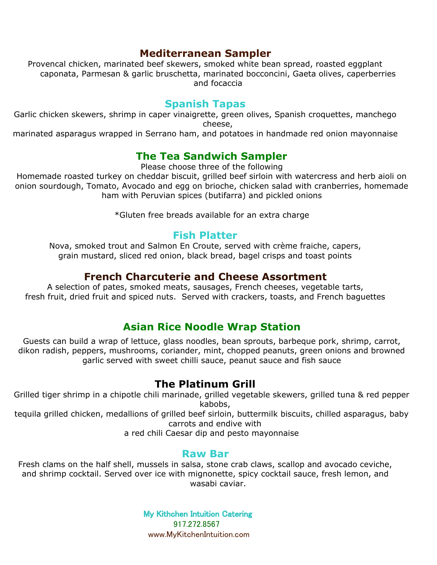### **Mediterranean Sampler**

Provencal chicken, marinated beef skewers, smoked white bean spread, roasted eggplant caponata, Parmesan & garlic bruschetta, marinated bocconcini, Gaeta olives, caperberries and focaccia

#### **Spanish Tapas**

Garlic chicken skewers, shrimp in caper vinaigrette, green olives, Spanish croquettes, manchego cheese,

marinated asparagus wrapped in Serrano ham, and potatoes in handmade red onion mayonnaise

### **The Tea Sandwich Sampler**

Please choose three of the following

Homemade roasted turkey on cheddar biscuit, grilled beef sirloin with watercress and herb aioli on onion sourdough, Tomato, Avocado and egg on brioche, chicken salad with cranberries, homemade ham with Peruvian spices (butifarra) and pickled onions

\*Gluten free breads available for an extra charge

#### **Fish Platter**

Nova, smoked trout and Salmon En Croute, served with crème fraiche, capers, grain mustard, sliced red onion, black bread, bagel crisps and toast points

#### **French Charcuterie and Cheese Assortment**

A selection of pates, smoked meats, sausages, French cheeses, vegetable tarts, fresh fruit, dried fruit and spiced nuts. Served with crackers, toasts, and French baguettes

### **Asian Rice Noodle Wrap Station**

Guests can build a wrap of lettuce, glass noodles, bean sprouts, barbeque pork, shrimp, carrot, dikon radish, peppers, mushrooms, coriander, mint, chopped peanuts, green onions and browned garlic served with sweet chilli sauce, peanut sauce and fish sauce

### **The Platinum Grill**

Grilled tiger shrimp in a chipotle chili marinade, grilled vegetable skewers, grilled tuna & red pepper kabobs,

tequila grilled chicken, medallions of grilled beef sirloin, buttermilk biscuits, chilled asparagus, baby carrots and endive with

a red chili Caesar dip and pesto mayonnaise

#### **Raw Bar**

Fresh clams on the half shell, mussels in salsa, stone crab claws, scallop and avocado ceviche, and shrimp cocktail. Served over ice with mignonette, spicy cocktail sauce, fresh lemon, and wasabi caviar.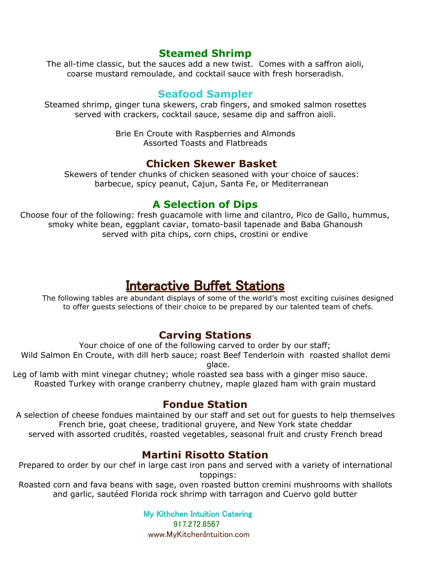#### **Steamed Shrimp**

The all-time classic, but the sauces add a new twist. Comes with a saffron aioli, coarse mustard remoulade, and cocktail sauce with fresh horseradish.

#### **Seafood Sampler**

Steamed shrimp, ginger tuna skewers, crab fingers, and smoked salmon rosettes served with crackers, cocktail sauce, sesame dip and saffron aioli.

> Brie En Croute with Raspberries and Almonds Assorted Toasts and Flatbreads

#### **Chicken Skewer Basket**

Skewers of tender chunks of chicken seasoned with your choice of sauces: barbecue, spicy peanut, Cajun, Santa Fe, or Mediterranean

### **A Selection of Dips**

Choose four of the following: fresh guacamole with lime and cilantro, Pico de Gallo, hummus, smoky white bean, eggplant caviar, tomato-basil tapenade and Baba Ghanoush served with pita chips, corn chips, crostini or endive

### Interactive Buffet Stations

The following tables are abundant displays of some of the world's most exciting cuisines designed to offer guests selections of their choice to be prepared by our talented team of chefs.

### **Carving Stations**

Your choice of one of the following carved to order by our staff; Wild Salmon En Croute, with dill herb sauce; roast Beef Tenderloin with roasted shallot demi glace.

Leg of lamb with mint vinegar chutney; whole roasted sea bass with a ginger miso sauce. Roasted Turkey with orange cranberry chutney, maple glazed ham with grain mustard

### **Fondue Station**

A selection of cheese fondues maintained by our staff and set out for guests to help themselves French brie, goat cheese, traditional gruyere, and New York state cheddar served with assorted crudités, roasted vegetables, seasonal fruit and crusty French bread

### **Martini Risotto Station**

Prepared to order by our chef in large cast iron pans and served with a variety of international toppings:

Roasted corn and fava beans with sage, oven roasted button cremini mushrooms with shallots and garlic, sautéed Florida rock shrimp with tarragon and Cuervo gold butter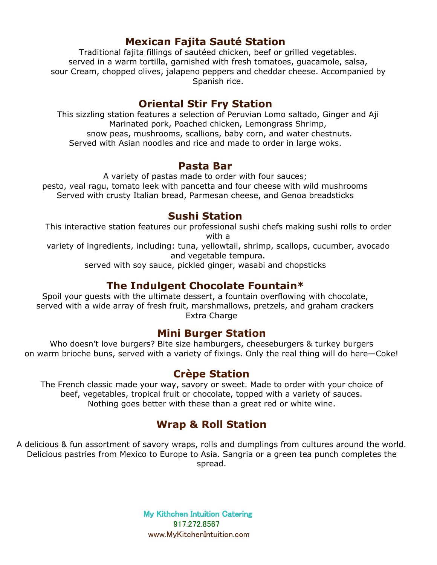### **Mexican Fajita Sauté Station**

Traditional fajita fillings of sautéed chicken, beef or grilled vegetables. served in a warm tortilla, garnished with fresh tomatoes, guacamole, salsa, sour Cream, chopped olives, jalapeno peppers and cheddar cheese. Accompanied by Spanish rice.

#### **Oriental Stir Fry Station**

This sizzling station features a selection of Peruvian Lomo saltado, Ginger and Aji Marinated pork, Poached chicken, Lemongrass Shrimp, snow peas, mushrooms, scallions, baby corn, and water chestnuts. Served with Asian noodles and rice and made to order in large woks.

#### **Pasta Bar**

A variety of pastas made to order with four sauces; pesto, veal ragu, tomato leek with pancetta and four cheese with wild mushrooms Served with crusty Italian bread, Parmesan cheese, and Genoa breadsticks

#### **Sushi Station**

This interactive station features our professional sushi chefs making sushi rolls to order with a

variety of ingredients, including: tuna, yellowtail, shrimp, scallops, cucumber, avocado and vegetable tempura.

served with soy sauce, pickled ginger, wasabi and chopsticks

### **The Indulgent Chocolate Fountain\***

Spoil your guests with the ultimate dessert, a fountain overflowing with chocolate, served with a wide array of fresh fruit, marshmallows, pretzels, and graham crackers Extra Charge

#### **Mini Burger Station**

Who doesn't love burgers? Bite size hamburgers, cheeseburgers & turkey burgers on warm brioche buns, served with a variety of fixings. Only the real thing will do here—Coke!

### **Crèpe Station**

The French classic made your way, savory or sweet. Made to order with your choice of beef, vegetables, tropical fruit or chocolate, topped with a variety of sauces. Nothing goes better with these than a great red or white wine.

### **Wrap & Roll Station**

A delicious & fun assortment of savory wraps, rolls and dumplings from cultures around the world. Delicious pastries from Mexico to Europe to Asia. Sangria or a green tea punch completes the spread.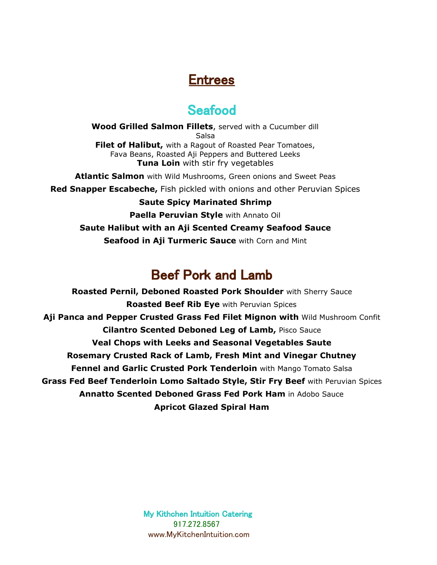# Entrees

# **Seafood**

**Wood Grilled Salmon Fillets**, served with a Cucumber dill Salsa **Filet of Halibut,** with a Ragout of Roasted Pear Tomatoes, Fava Beans, Roasted Aji Peppers and Buttered Leeks **Tuna Loin** with stir fry vegetables

**Atlantic Salmon** with Wild Mushrooms, Green onions and Sweet Peas

**Red Snapper Escabeche,** Fish pickled with onions and other Peruvian Spices

#### **Saute Spicy Marinated Shrimp**

**Paella Peruvian Style** with Annato Oil

**Saute Halibut with an Aji Scented Creamy Seafood Sauce Seafood in Aji Turmeric Sauce** with Corn and Mint

# Beef Pork and Lamb

**Roasted Pernil, Deboned Roasted Pork Shoulder** with Sherry Sauce **Roasted Beef Rib Eye** with Peruvian Spices **Aji Panca and Pepper Crusted Grass Fed Filet Mignon with** Wild Mushroom Confit **Cilantro Scented Deboned Leg of Lamb,** Pisco Sauce **Veal Chops with Leeks and Seasonal Vegetables Saute Rosemary Crusted Rack of Lamb, Fresh Mint and Vinegar Chutney Fennel and Garlic Crusted Pork Tenderloin** with Mango Tomato Salsa **Grass Fed Beef Tenderloin Lomo Saltado Style, Stir Fry Beef** with Peruvian Spices **Annatto Scented Deboned Grass Fed Pork Ham** in Adobo Sauce **Apricot Glazed Spiral Ham**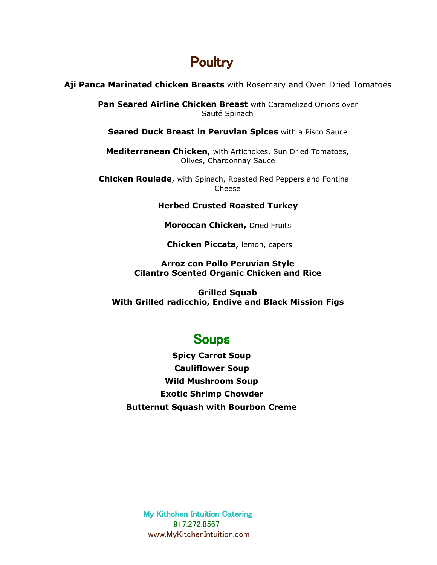# **Poultry**

#### **Aji Panca Marinated chicken Breasts** with Rosemary and Oven Dried Tomatoes

**Pan Seared Airline Chicken Breast** with Caramelized Onions over Sauté Spinach

**Seared Duck Breast in Peruvian Spices** with a Pisco Sauce

**Mediterranean Chicken,** with Artichokes, Sun Dried Tomatoes**,** Olives, Chardonnay Sauce

 **Chicken Roulade**, with Spinach, Roasted Red Peppers and Fontina Cheese

#### **Herbed Crusted Roasted Turkey**

**Moroccan Chicken,** Dried Fruits

**Chicken Piccata,** lemon, capers

#### **Arroz con Pollo Peruvian Style Cilantro Scented Organic Chicken and Rice**

**Grilled Squab With Grilled radicchio, Endive and Black Mission Figs**

### **Soups**

**Spicy Carrot Soup Cauliflower Soup Wild Mushroom Soup Exotic Shrimp Chowder Butternut Squash with Bourbon Creme**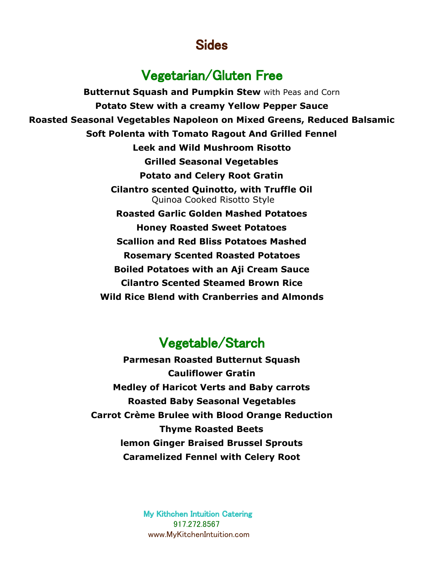### Sides

### Vegetarian/Gluten Free

**Butternut Squash and Pumpkin Stew** with Peas and Corn **Potato Stew with a creamy Yellow Pepper Sauce Roasted Seasonal Vegetables Napoleon on Mixed Greens, Reduced Balsamic Soft Polenta with Tomato Ragout And Grilled Fennel Leek and Wild Mushroom Risotto Grilled Seasonal Vegetables Potato and Celery Root Gratin Cilantro scented Quinotto, with Truffle Oil** Quinoa Cooked Risotto Style **Roasted Garlic Golden Mashed Potatoes Honey Roasted Sweet Potatoes Scallion and Red Bliss Potatoes Mashed Rosemary Scented Roasted Potatoes Boiled Potatoes with an Aji Cream Sauce Cilantro Scented Steamed Brown Rice Wild Rice Blend with Cranberries and Almonds**

# Vegetable/Starch

**Parmesan Roasted Butternut Squash Cauliflower Gratin Medley of Haricot Verts and Baby carrots Roasted Baby Seasonal Vegetables Carrot Crème Brulee with Blood Orange Reduction Thyme Roasted Beets lemon Ginger Braised Brussel Sprouts Caramelized Fennel with Celery Root**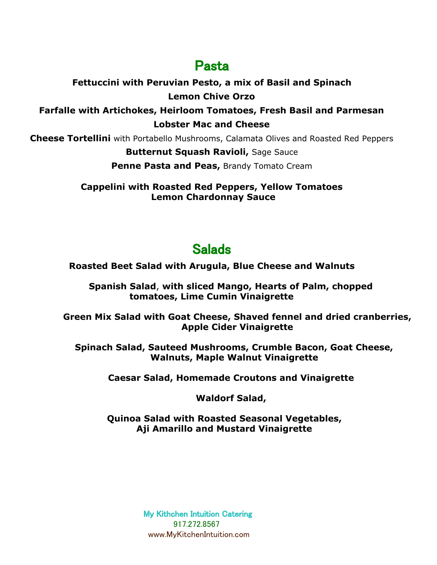# Pasta

### **Fettuccini with Peruvian Pesto, a mix of Basil and Spinach Lemon Chive Orzo**

**Farfalle with Artichokes, Heirloom Tomatoes, Fresh Basil and Parmesan Lobster Mac and Cheese**

**Cheese Tortellini** with Portabello Mushrooms, Calamata Olives and Roasted Red Peppers

#### **Butternut Squash Ravioli,** Sage Sauce

**Penne Pasta and Peas, Brandy Tomato Cream** 

**Cappelini with Roasted Red Peppers, Yellow Tomatoes Lemon Chardonnay Sauce**

# **Salads**

**Roasted Beet Salad with Arugula, Blue Cheese and Walnuts**

**Spanish Salad**, **with sliced Mango, Hearts of Palm, chopped tomatoes, Lime Cumin Vinaigrette**

**Green Mix Salad with Goat Cheese, Shaved fennel and dried cranberries, Apple Cider Vinaigrette**

**Spinach Salad, Sauteed Mushrooms, Crumble Bacon, Goat Cheese, Walnuts, Maple Walnut Vinaigrette**

**Caesar Salad, Homemade Croutons and Vinaigrette**

**Waldorf Salad,**

**Quinoa Salad with Roasted Seasonal Vegetables, Aji Amarillo and Mustard Vinaigrette**